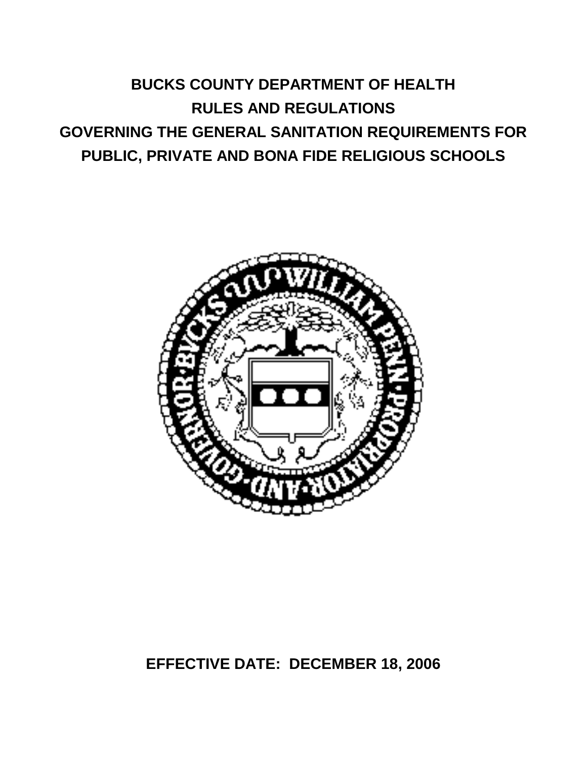# **BUCKS COUNTY DEPARTMENT OF HEALTH RULES AND REGULATIONS GOVERNING THE GENERAL SANITATION REQUIREMENTS FOR PUBLIC, PRIVATE AND BONA FIDE RELIGIOUS SCHOOLS**



# **EFFECTIVE DATE: DECEMBER 18, 2006**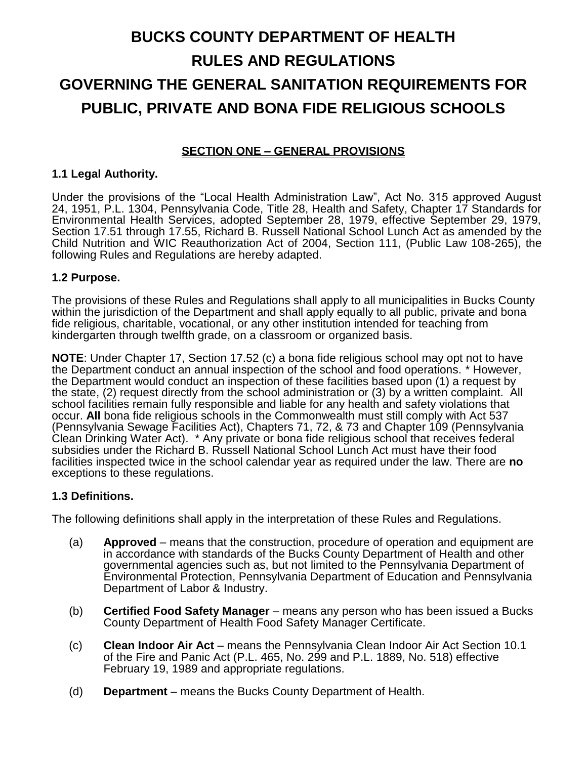# **BUCKS COUNTY DEPARTMENT OF HEALTH RULES AND REGULATIONS GOVERNING THE GENERAL SANITATION REQUIREMENTS FOR PUBLIC, PRIVATE AND BONA FIDE RELIGIOUS SCHOOLS**

# **SECTION ONE – GENERAL PROVISIONS**

#### **1.1 Legal Authority.**

Under the provisions of the "Local Health Administration Law", Act No. 315 approved August 24, 1951, P.L. 1304, Pennsylvania Code, Title 28, Health and Safety, Chapter 17 Standards for Environmental Health Services, adopted September 28, 1979, effective September 29, 1979, Section 17.51 through 17.55, Richard B. Russell National School Lunch Act as amended by the Child Nutrition and WIC Reauthorization Act of 2004, Section 111, (Public Law 108-265), the following Rules and Regulations are hereby adapted.

#### **1.2 Purpose.**

The provisions of these Rules and Regulations shall apply to all municipalities in Bucks County within the jurisdiction of the Department and shall apply equally to all public, private and bona fide religious, charitable, vocational, or any other institution intended for teaching from kindergarten through twelfth grade, on a classroom or organized basis.

**NOTE**: Under Chapter 17, Section 17.52 (c) a bona fide religious school may opt not to have the Department conduct an annual inspection of the school and food operations. \* However, the Department would conduct an inspection of these facilities based upon (1) a request by the state, (2) request directly from the school administration or (3) by a written complaint. All school facilities remain fully responsible and liable for any health and safety violations that occur. **All** bona fide religious schools in the Commonwealth must still comply with Act 537 (Pennsylvania Sewage Facilities Act), Chapters 71, 72, & 73 and Chapter 109 (Pennsylvania Clean Drinking Water Act). \* Any private or bona fide religious school that receives federal subsidies under the Richard B. Russell National School Lunch Act must have their food facilities inspected twice in the school calendar year as required under the law. There are **no** exceptions to these regulations.

#### **1.3 Definitions.**

The following definitions shall apply in the interpretation of these Rules and Regulations.

- (a) **Approved**  means that the construction, procedure of operation and equipment are in accordance with standards of the Bucks County Department of Health and other governmental agencies such as, but not limited to the Pennsylvania Department of Environmental Protection, Pennsylvania Department of Education and Pennsylvania Department of Labor & Industry.
- (b) **Certified Food Safety Manager** means any person who has been issued a Bucks County Department of Health Food Safety Manager Certificate.
- (c) **Clean Indoor Air Act** means the Pennsylvania Clean Indoor Air Act Section 10.1 of the Fire and Panic Act (P.L. 465, No. 299 and P.L. 1889, No. 518) effective February 19, 1989 and appropriate regulations.
- (d) **Department** means the Bucks County Department of Health.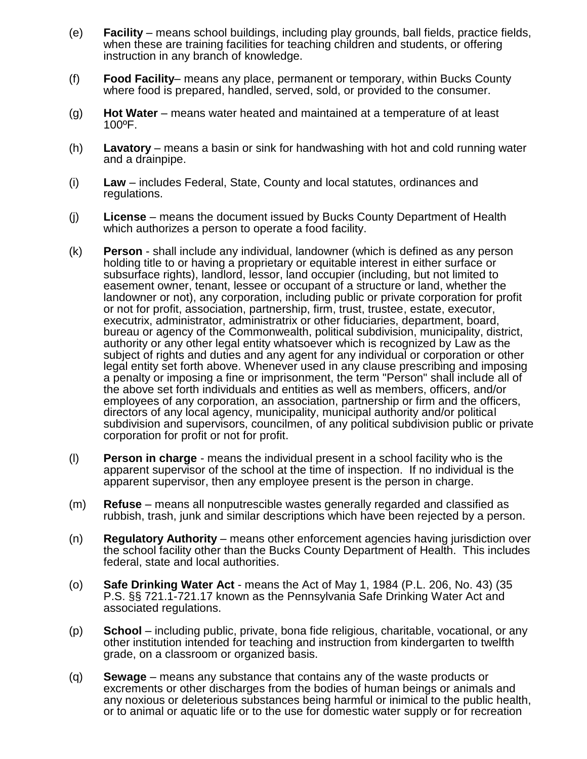- (e) **Facility** means school buildings, including play grounds, ball fields, practice fields, when these are training facilities for teaching children and students, or offering instruction in any branch of knowledge.
- (f) **Food Facility** means any place, permanent or temporary, within Bucks County where food is prepared, handled, served, sold, or provided to the consumer.
- (g) **Hot Water** means water heated and maintained at a temperature of at least 100ºF.
- (h) **Lavatory** means a basin or sink for handwashing with hot and cold running water and a drainpipe.
- (i) **Law** includes Federal, State, County and local statutes, ordinances and regulations.
- (j) **License** means the document issued by Bucks County Department of Health which authorizes a person to operate a food facility.
- (k) **Person** shall include any individual, landowner (which is defined as any person holding title to or having a proprietary or equitable interest in either surface or subsurface rights), landlord, lessor, land occupier (including, but not limited to easement owner, tenant, lessee or occupant of a structure or land, whether the landowner or not), any corporation, including public or private corporation for profit or not for profit, association, partnership, firm, trust, trustee, estate, executor, executrix, administrator, administratrix or other fiduciaries, department, board, bureau or agency of the Commonwealth, political subdivision, municipality, district, authority or any other legal entity whatsoever which is recognized by Law as the subject of rights and duties and any agent for any individual or corporation or other legal entity set forth above. Whenever used in any clause prescribing and imposing a penalty or imposing a fine or imprisonment, the term "Person" shall include all of the above set forth individuals and entities as well as members, officers, and/or employees of any corporation, an association, partnership or firm and the officers, directors of any local agency, municipality, municipal authority and/or political subdivision and supervisors, councilmen, of any political subdivision public or private corporation for profit or not for profit.
- (l) **Person in charge** means the individual present in a school facility who is the apparent supervisor of the school at the time of inspection. If no individual is the apparent supervisor, then any employee present is the person in charge.
- (m) **Refuse**  means all nonputrescible wastes generally regarded and classified as rubbish, trash, junk and similar descriptions which have been rejected by a person.
- (n) **Regulatory Authority** means other enforcement agencies having jurisdiction over the school facility other than the Bucks County Department of Health. This includes federal, state and local authorities.
- (o) **Safe Drinking Water Act**  means the Act of May 1, 1984 (P.L. 206, No. 43) (35 P.S. §§ 721.1-721.17 known as the Pennsylvania Safe Drinking Water Act and associated regulations.
- (p) **School** including public, private, bona fide religious, charitable, vocational, or any other institution intended for teaching and instruction from kindergarten to twelfth grade, on a classroom or organized basis.
- (q) **Sewage** means any substance that contains any of the waste products or excrements or other discharges from the bodies of human beings or animals and any noxious or deleterious substances being harmful or inimical to the public health, or to animal or aquatic life or to the use for domestic water supply or for recreation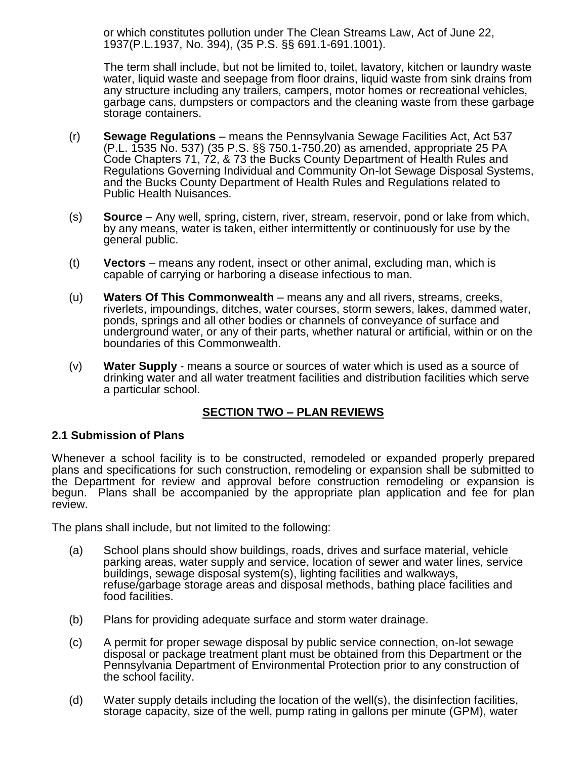or which constitutes pollution under The Clean Streams Law, Act of June 22, 1937(P.L.1937, No. 394), (35 P.S. §§ 691.1-691.1001).

The term shall include, but not be limited to, toilet, lavatory, kitchen or laundry waste water, liquid waste and seepage from floor drains, liquid waste from sink drains from any structure including any trailers, campers, motor homes or recreational vehicles, garbage cans, dumpsters or compactors and the cleaning waste from these garbage storage containers.

- (r) **Sewage Regulations** means the Pennsylvania Sewage Facilities Act, Act 537 (P.L. 1535 No. 537) (35 P.S. §§ 750.1-750.20) as amended, appropriate 25 PA Code Chapters 71, 72, & 73 the Bucks County Department of Health Rules and Regulations Governing Individual and Community On-lot Sewage Disposal Systems, and the Bucks County Department of Health Rules and Regulations related to Public Health Nuisances.
- (s) **Source** Any well, spring, cistern, river, stream, reservoir, pond or lake from which, by any means, water is taken, either intermittently or continuously for use by the general public.
- (t) **Vectors** means any rodent, insect or other animal, excluding man, which is capable of carrying or harboring a disease infectious to man.
- (u) **Waters Of This Commonwealth** means any and all rivers, streams, creeks, riverlets, impoundings, ditches, water courses, storm sewers, lakes, dammed water, ponds, springs and all other bodies or channels of conveyance of surface and underground water, or any of their parts, whether natural or artificial, within or on the boundaries of this Commonwealth.
- (v) **Water Supply**  means a source or sources of water which is used as a source of drinking water and all water treatment facilities and distribution facilities which serve a particular school.

### **SECTION TWO – PLAN REVIEWS**

### **2.1 Submission of Plans**

Whenever a school facility is to be constructed, remodeled or expanded properly prepared plans and specifications for such construction, remodeling or expansion shall be submitted to the Department for review and approval before construction remodeling or expansion is begun. Plans shall be accompanied by the appropriate plan application and fee for plan review.

The plans shall include, but not limited to the following:

- (a) School plans should show buildings, roads, drives and surface material, vehicle parking areas, water supply and service, location of sewer and water lines, service buildings, sewage disposal system(s), lighting facilities and walkways, refuse/garbage storage areas and disposal methods, bathing place facilities and food facilities.
- (b) Plans for providing adequate surface and storm water drainage.
- (c) A permit for proper sewage disposal by public service connection, on-lot sewage disposal or package treatment plant must be obtained from this Department or the Pennsylvania Department of Environmental Protection prior to any construction of the school facility.
- (d) Water supply details including the location of the well(s), the disinfection facilities, storage capacity, size of the well, pump rating in gallons per minute (GPM), water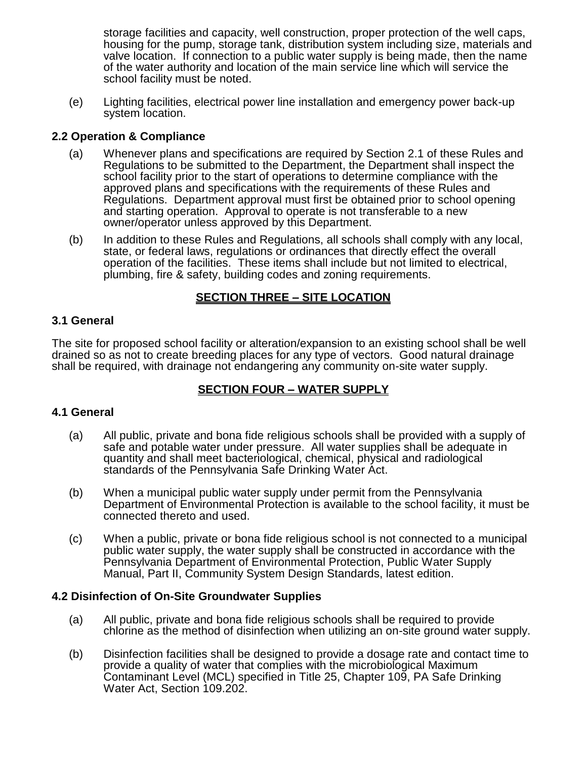storage facilities and capacity, well construction, proper protection of the well caps, housing for the pump, storage tank, distribution system including size, materials and valve location. If connection to a public water supply is being made, then the name of the water authority and location of the main service line which will service the school facility must be noted.

(e) Lighting facilities, electrical power line installation and emergency power back-up system location.

# **2.2 Operation & Compliance**

- (a) Whenever plans and specifications are required by Section 2.1 of these Rules and Regulations to be submitted to the Department, the Department shall inspect the school facility prior to the start of operations to determine compliance with the approved plans and specifications with the requirements of these Rules and Regulations. Department approval must first be obtained prior to school opening and starting operation. Approval to operate is not transferable to a new owner/operator unless approved by this Department.
- (b) In addition to these Rules and Regulations, all schools shall comply with any local, state, or federal laws, regulations or ordinances that directly effect the overall operation of the facilities. These items shall include but not limited to electrical, plumbing, fire & safety, building codes and zoning requirements.

# **SECTION THREE – SITE LOCATION**

### **3.1 General**

The site for proposed school facility or alteration/expansion to an existing school shall be well drained so as not to create breeding places for any type of vectors. Good natural drainage shall be required, with drainage not endangering any community on-site water supply.

# **SECTION FOUR – WATER SUPPLY**

#### **4.1 General**

- (a) All public, private and bona fide religious schools shall be provided with a supply of safe and potable water under pressure. All water supplies shall be adequate in quantity and shall meet bacteriological, chemical, physical and radiological standards of the Pennsylvania Safe Drinking Water Act.
- (b) When a municipal public water supply under permit from the Pennsylvania Department of Environmental Protection is available to the school facility, it must be connected thereto and used.
- (c) When a public, private or bona fide religious school is not connected to a municipal public water supply, the water supply shall be constructed in accordance with the Pennsylvania Department of Environmental Protection, Public Water Supply Manual, Part II, Community System Design Standards, latest edition.

#### **4.2 Disinfection of On-Site Groundwater Supplies**

- (a) All public, private and bona fide religious schools shall be required to provide chlorine as the method of disinfection when utilizing an on-site ground water supply.
- (b) Disinfection facilities shall be designed to provide a dosage rate and contact time to provide a quality of water that complies with the microbiological Maximum Contaminant Level (MCL) specified in Title 25, Chapter 109, PA Safe Drinking Water Act, Section 109.202.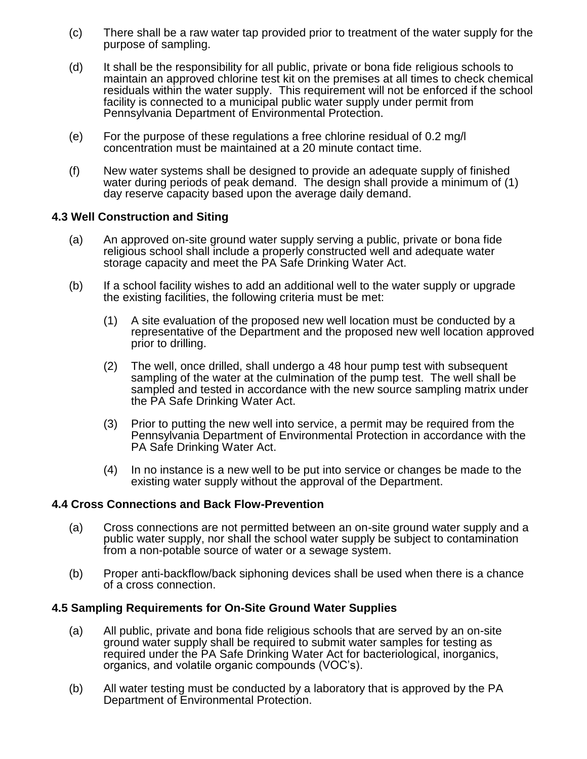- (c) There shall be a raw water tap provided prior to treatment of the water supply for the purpose of sampling.
- (d) It shall be the responsibility for all public, private or bona fide religious schools to maintain an approved chlorine test kit on the premises at all times to check chemical residuals within the water supply. This requirement will not be enforced if the school facility is connected to a municipal public water supply under permit from Pennsylvania Department of Environmental Protection.
- (e) For the purpose of these regulations a free chlorine residual of 0.2 mg/l concentration must be maintained at a 20 minute contact time.
- (f) New water systems shall be designed to provide an adequate supply of finished water during periods of peak demand. The design shall provide a minimum of (1) day reserve capacity based upon the average daily demand.

#### **4.3 Well Construction and Siting**

- (a) An approved on-site ground water supply serving a public, private or bona fide religious school shall include a properly constructed well and adequate water storage capacity and meet the PA Safe Drinking Water Act.
- (b) If a school facility wishes to add an additional well to the water supply or upgrade the existing facilities, the following criteria must be met:
	- (1) A site evaluation of the proposed new well location must be conducted by a representative of the Department and the proposed new well location approved prior to drilling.
	- (2) The well, once drilled, shall undergo a 48 hour pump test with subsequent sampling of the water at the culmination of the pump test. The well shall be sampled and tested in accordance with the new source sampling matrix under the PA Safe Drinking Water Act.
	- (3) Prior to putting the new well into service, a permit may be required from the Pennsylvania Department of Environmental Protection in accordance with the PA Safe Drinking Water Act.
	- (4) In no instance is a new well to be put into service or changes be made to the existing water supply without the approval of the Department.

#### **4.4 Cross Connections and Back Flow-Prevention**

- (a) Cross connections are not permitted between an on-site ground water supply and a public water supply, nor shall the school water supply be subject to contamination from a non-potable source of water or a sewage system.
- (b) Proper anti-backflow/back siphoning devices shall be used when there is a chance of a cross connection.

#### **4.5 Sampling Requirements for On-Site Ground Water Supplies**

- (a) All public, private and bona fide religious schools that are served by an on-site ground water supply shall be required to submit water samples for testing as required under the PA Safe Drinking Water Act for bacteriological, inorganics, organics, and volatile organic compounds (VOC's).
- (b) All water testing must be conducted by a laboratory that is approved by the PA Department of Environmental Protection.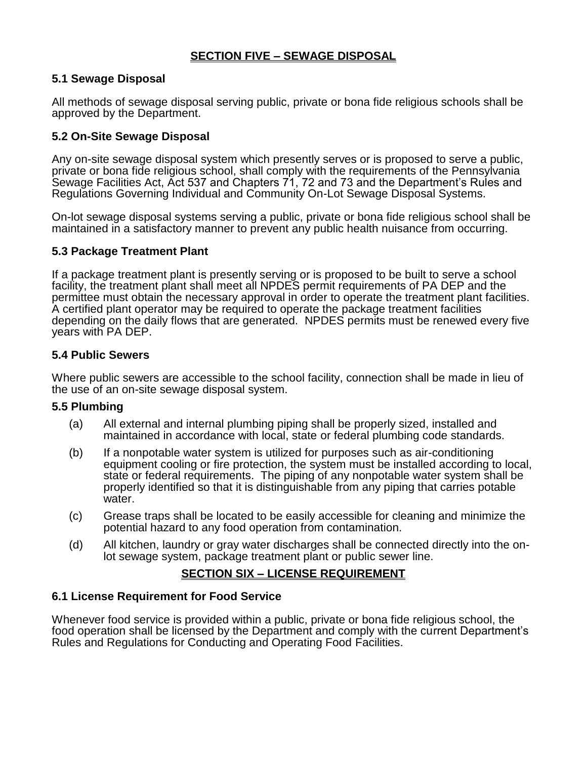# **SECTION FIVE – SEWAGE DISPOSAL**

### **5.1 Sewage Disposal**

All methods of sewage disposal serving public, private or bona fide religious schools shall be approved by the Department.

# **5.2 On-Site Sewage Disposal**

Any on-site sewage disposal system which presently serves or is proposed to serve a public, private or bona fide religious school, shall comply with the requirements of the Pennsylvania Sewage Facilities Act, Act 537 and Chapters 71, 72 and 73 and the Department's Rules and Regulations Governing Individual and Community On-Lot Sewage Disposal Systems.

On-lot sewage disposal systems serving a public, private or bona fide religious school shall be maintained in a satisfactory manner to prevent any public health nuisance from occurring.

### **5.3 Package Treatment Plant**

If a package treatment plant is presently serving or is proposed to be built to serve a school facility, the treatment plant shall meet all NPDES permit requirements of PA DEP and the permittee must obtain the necessary approval in order to operate the treatment plant facilities. A certified plant operator may be required to operate the package treatment facilities depending on the daily flows that are generated. NPDES permits must be renewed every five years with PA DEP.

#### **5.4 Public Sewers**

Where public sewers are accessible to the school facility, connection shall be made in lieu of the use of an on-site sewage disposal system.

#### **5.5 Plumbing**

- (a) All external and internal plumbing piping shall be properly sized, installed and maintained in accordance with local, state or federal plumbing code standards.
- (b) If a nonpotable water system is utilized for purposes such as air-conditioning equipment cooling or fire protection, the system must be installed according to local, state or federal requirements. The piping of any nonpotable water system shall be properly identified so that it is distinguishable from any piping that carries potable water.
- (c) Grease traps shall be located to be easily accessible for cleaning and minimize the potential hazard to any food operation from contamination.
- (d) All kitchen, laundry or gray water discharges shall be connected directly into the onlot sewage system, package treatment plant or public sewer line.

# **SECTION SIX – LICENSE REQUIREMENT**

### **6.1 License Requirement for Food Service**

Whenever food service is provided within a public, private or bona fide religious school, the food operation shall be licensed by the Department and comply with the current Department's Rules and Regulations for Conducting and Operating Food Facilities.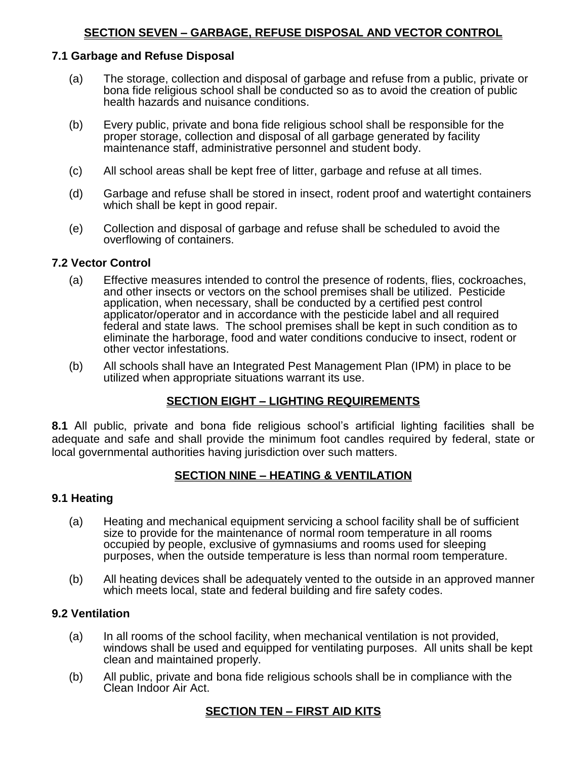#### **7.1 Garbage and Refuse Disposal**

- (a) The storage, collection and disposal of garbage and refuse from a public, private or bona fide religious school shall be conducted so as to avoid the creation of public health hazards and nuisance conditions.
- (b) Every public, private and bona fide religious school shall be responsible for the proper storage, collection and disposal of all garbage generated by facility maintenance staff, administrative personnel and student body.
- (c) All school areas shall be kept free of litter, garbage and refuse at all times.
- (d) Garbage and refuse shall be stored in insect, rodent proof and watertight containers which shall be kept in good repair.
- (e) Collection and disposal of garbage and refuse shall be scheduled to avoid the overflowing of containers.

#### **7.2 Vector Control**

- (a) Effective measures intended to control the presence of rodents, flies, cockroaches, and other insects or vectors on the school premises shall be utilized. Pesticide application, when necessary, shall be conducted by a certified pest control applicator/operator and in accordance with the pesticide label and all required federal and state laws. The school premises shall be kept in such condition as to eliminate the harborage, food and water conditions conducive to insect, rodent or other vector infestations.
- (b) All schools shall have an Integrated Pest Management Plan (IPM) in place to be utilized when appropriate situations warrant its use.

### **SECTION EIGHT – LIGHTING REQUIREMENTS**

**8.1** All public, private and bona fide religious school's artificial lighting facilities shall be adequate and safe and shall provide the minimum foot candles required by federal, state or local governmental authorities having jurisdiction over such matters.

#### **SECTION NINE – HEATING & VENTILATION**

#### **9.1 Heating**

- (a) Heating and mechanical equipment servicing a school facility shall be of sufficient size to provide for the maintenance of normal room temperature in all rooms occupied by people, exclusive of gymnasiums and rooms used for sleeping purposes, when the outside temperature is less than normal room temperature.
- (b) All heating devices shall be adequately vented to the outside in an approved manner which meets local, state and federal building and fire safety codes.

#### **9.2 Ventilation**

- (a) In all rooms of the school facility, when mechanical ventilation is not provided, windows shall be used and equipped for ventilating purposes. All units shall be kept clean and maintained properly.
- (b) All public, private and bona fide religious schools shall be in compliance with the Clean Indoor Air Act.

### **SECTION TEN – FIRST AID KITS**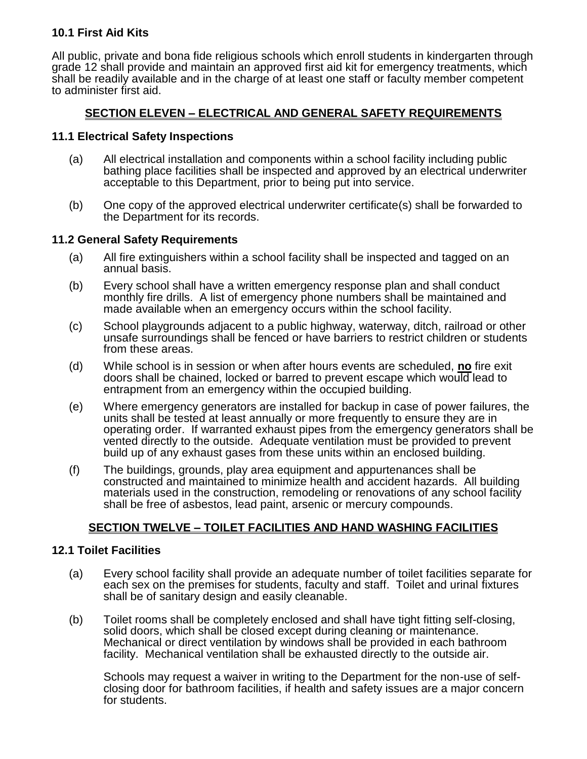# **10.1 First Aid Kits**

All public, private and bona fide religious schools which enroll students in kindergarten through grade 12 shall provide and maintain an approved first aid kit for emergency treatments, which shall be readily available and in the charge of at least one staff or faculty member competent to administer first aid.

# **SECTION ELEVEN – ELECTRICAL AND GENERAL SAFETY REQUIREMENTS**

#### **11.1 Electrical Safety Inspections**

- (a) All electrical installation and components within a school facility including public bathing place facilities shall be inspected and approved by an electrical underwriter acceptable to this Department, prior to being put into service.
- (b) One copy of the approved electrical underwriter certificate(s) shall be forwarded to the Department for its records.

#### **11.2 General Safety Requirements**

- (a) All fire extinguishers within a school facility shall be inspected and tagged on an annual basis.
- (b) Every school shall have a written emergency response plan and shall conduct monthly fire drills. A list of emergency phone numbers shall be maintained and made available when an emergency occurs within the school facility.
- (c) School playgrounds adjacent to a public highway, waterway, ditch, railroad or other unsafe surroundings shall be fenced or have barriers to restrict children or students from these areas.
- (d) While school is in session or when after hours events are scheduled, **no** fire exit doors shall be chained, locked or barred to prevent escape which would lead to entrapment from an emergency within the occupied building.
- (e) Where emergency generators are installed for backup in case of power failures, the units shall be tested at least annually or more frequently to ensure they are in operating order. If warranted exhaust pipes from the emergency generators shall be vented directly to the outside. Adequate ventilation must be provided to prevent build up of any exhaust gases from these units within an enclosed building.
- (f) The buildings, grounds, play area equipment and appurtenances shall be constructed and maintained to minimize health and accident hazards. All building materials used in the construction, remodeling or renovations of any school facility shall be free of asbestos, lead paint, arsenic or mercury compounds.

### **SECTION TWELVE – TOILET FACILITIES AND HAND WASHING FACILITIES**

### **12.1 Toilet Facilities**

- (a) Every school facility shall provide an adequate number of toilet facilities separate for each sex on the premises for students, faculty and staff. Toilet and urinal fixtures shall be of sanitary design and easily cleanable.
- (b) Toilet rooms shall be completely enclosed and shall have tight fitting self-closing, solid doors, which shall be closed except during cleaning or maintenance. Mechanical or direct ventilation by windows shall be provided in each bathroom facility. Mechanical ventilation shall be exhausted directly to the outside air.

Schools may request a waiver in writing to the Department for the non-use of selfclosing door for bathroom facilities, if health and safety issues are a major concern for students.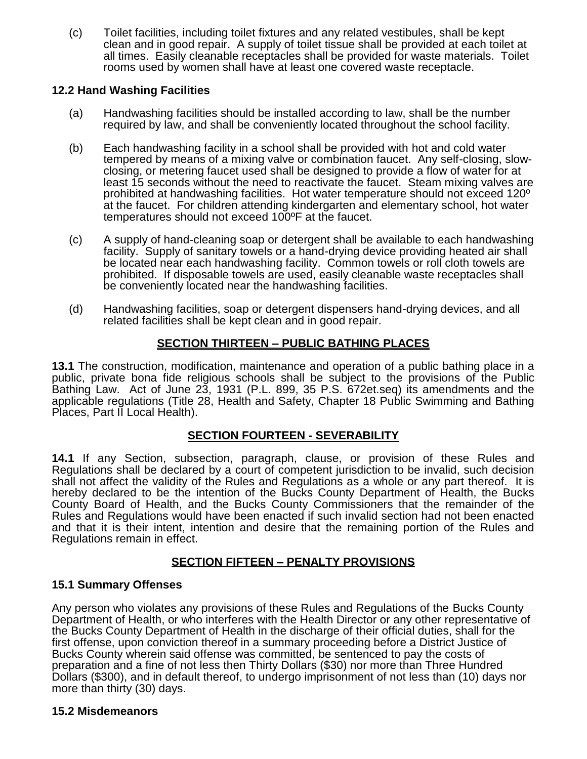(c) Toilet facilities, including toilet fixtures and any related vestibules, shall be kept clean and in good repair. A supply of toilet tissue shall be provided at each toilet at all times. Easily cleanable receptacles shall be provided for waste materials. Toilet rooms used by women shall have at least one covered waste receptacle.

# **12.2 Hand Washing Facilities**

- (a) Handwashing facilities should be installed according to law, shall be the number required by law, and shall be conveniently located throughout the school facility.
- (b) Each handwashing facility in a school shall be provided with hot and cold water tempered by means of a mixing valve or combination faucet. Any self-closing, slowclosing, or metering faucet used shall be designed to provide a flow of water for at least 15 seconds without the need to reactivate the faucet. Steam mixing valves are prohibited at handwashing facilities. Hot water temperature should not exceed 120º at the faucet. For children attending kindergarten and elementary school, hot water temperatures should not exceed 100ºF at the faucet.
- (c) A supply of hand-cleaning soap or detergent shall be available to each handwashing facility. Supply of sanitary towels or a hand-drying device providing heated air shall be located near each handwashing facility. Common towels or roll cloth towels are prohibited. If disposable towels are used, easily cleanable waste receptacles shall be conveniently located near the handwashing facilities.
- (d) Handwashing facilities, soap or detergent dispensers hand-drying devices, and all related facilities shall be kept clean and in good repair.

# **SECTION THIRTEEN – PUBLIC BATHING PLACES**

**13.1** The construction, modification, maintenance and operation of a public bathing place in a public, private bona fide religious schools shall be subject to the provisions of the Public Bathing Law. Act of June 23, 1931 (P.L. 899, 35 P.S. 672et.seq) its amendments and the applicable regulations (Title 28, Health and Safety, Chapter 18 Public Swimming and Bathing Places, Part II Local Health).

# **SECTION FOURTEEN - SEVERABILITY**

**14.1** If any Section, subsection, paragraph, clause, or provision of these Rules and Regulations shall be declared by a court of competent jurisdiction to be invalid, such decision shall not affect the validity of the Rules and Regulations as a whole or any part thereof. It is hereby declared to be the intention of the Bucks County Department of Health, the Bucks County Board of Health, and the Bucks County Commissioners that the remainder of the Rules and Regulations would have been enacted if such invalid section had not been enacted and that it is their intent, intention and desire that the remaining portion of the Rules and Regulations remain in effect.

# **SECTION FIFTEEN – PENALTY PROVISIONS**

# **15.1 Summary Offenses**

Any person who violates any provisions of these Rules and Regulations of the Bucks County Department of Health, or who interferes with the Health Director or any other representative of the Bucks County Department of Health in the discharge of their official duties, shall for the first offense, upon conviction thereof in a summary proceeding before a District Justice of Bucks County wherein said offense was committed, be sentenced to pay the costs of preparation and a fine of not less then Thirty Dollars (\$30) nor more than Three Hundred Dollars (\$300), and in default thereof, to undergo imprisonment of not less than (10) days nor more than thirty (30) days.

### **15.2 Misdemeanors**